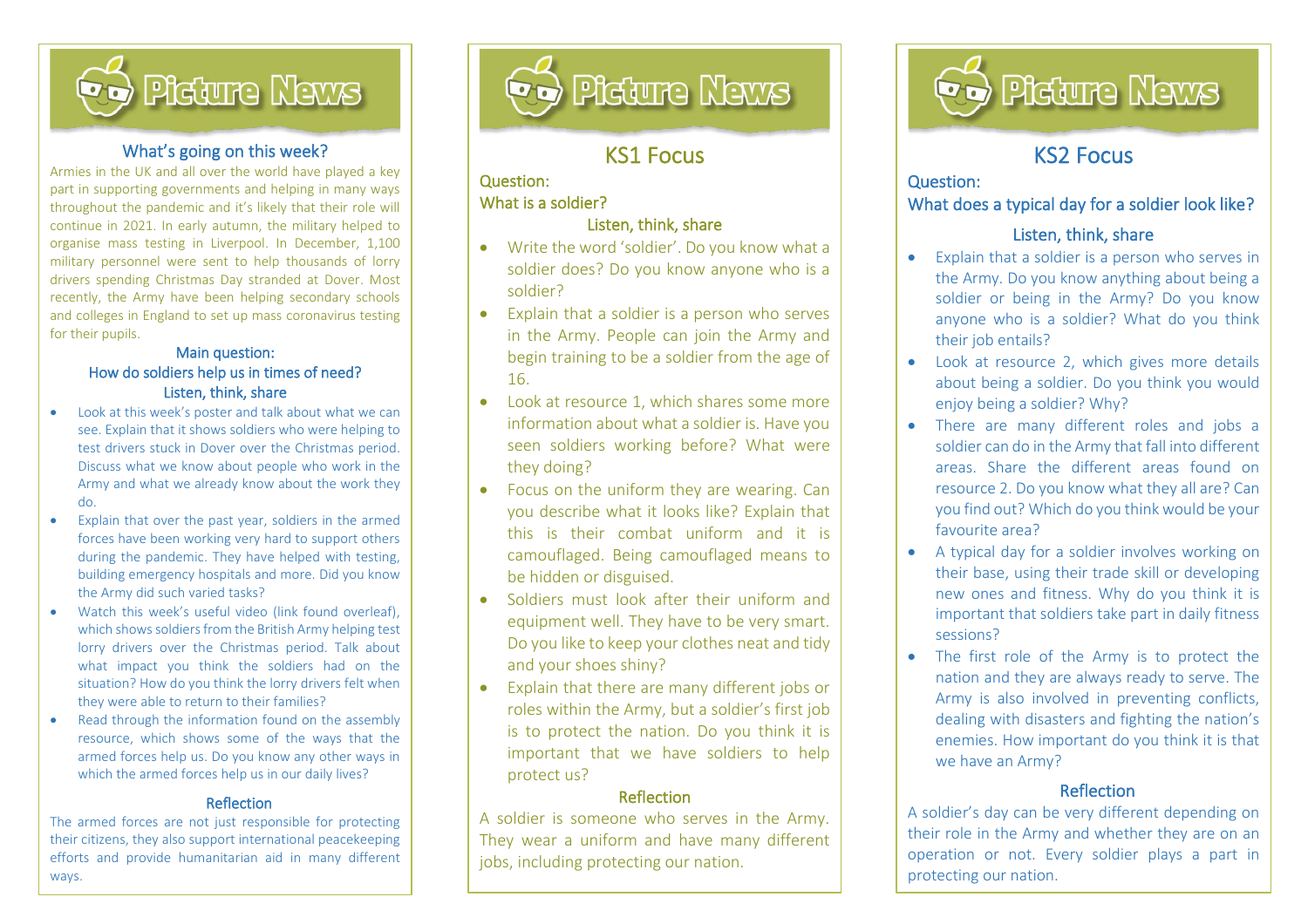

#### What's going on this week?

Armies in the UK and all over the world have played a key part in supporting governments and helping in many ways throughout the pandemic and it's likely that their role will continue in 2021. In early autumn, the military helped to organise mass testing in Liverpool. In December, 1,100 military personnel were sent to help thousands of lorry drivers spending Christmas Day stranded at Dover. Most recently, the Army have been helping secondary schools and colleges in England to set up mass coronavirus testing for their pupils.

#### Main question: How do soldiers help us in times of need? Listen, think, share

- Look at this week's poster and talk about what we can see. Explain that it shows soldiers who were helping to test drivers stuck in Dover over the Christmas period. Discuss what we know about people who work in the Army and what we already know about the work they do.
- Explain that over the past year, soldiers in the armed forces have been working very hard to support others during the pandemic. They have helped with testing, building emergency hospitals and more. Did you know the Army did such varied tasks?
- Watch this week's useful video (link found overleaf), which shows soldiers from the British Army helping test lorry drivers over the Christmas period. Talk about what impact you think the soldiers had on the situation? How do you think the lorry drivers felt when they were able to return to their families?
- Read through the information found on the assembly resource, which shows some of the ways that the armed forces help us. Do you know any other ways in which the armed forces help us in our daily lives?

#### Reflection

The armed forces are not just responsible for protecting their citizens, they also support international peacekeeping efforts and provide humanitarian aid in many different ways.



## KS1 Focus

### Question: What is a soldier?

İ,

#### Listen, think, share

- Write the word 'soldier'. Do you know what a soldier does? Do you know anyone who is a soldier?
- Explain that a soldier is a person who serves in the Army. People can join the Army and begin training to be a soldier from the age of 16.
- Look at resource 1, which shares some more information about what a soldier is. Have you seen soldiers working before? What were they doing?
- Focus on the uniform they are wearing. Can you describe what it looks like? Explain that this is their combat uniform and it is camouflaged. Being camouflaged means to be hidden or disguised.
- Soldiers must look after their uniform and equipment well. They have to be very smart. Do you like to keep your clothes neat and tidy and your shoes shiny?
- Explain that there are many different jobs or roles within the Army, but a soldier's first job is to protect the nation. Do you think it is important that we have soldiers to help protect us?

#### Reflection

A soldier is someone who serves in the Army. They wear a uniform and have many different jobs, including protecting our nation.



# KS2 Focus

l

#### Question:

l

### What does a typical day for a soldier look like?

### Listen, think, share

- Explain that a soldier is a person who serves in the Army. Do you know anything about being a soldier or being in the Army? Do you know anyone who is a soldier? What do you think their job entails?
- Look at resource 2, which gives more details about being a soldier. Do you think you would enjoy being a soldier? Why?
- There are many different roles and jobs a soldier can do in the Army that fall into different areas. Share the different areas found on resource 2. Do you know what they all are? Can you find out? Which do you think would be your favourite area?
- A typical day for a soldier involves working on their base, using their trade skill or developing new ones and fitness. Why do you think it is important that soldiers take part in daily fitness sessions?
- The first role of the Army is to protect the nation and they are always ready to serve. The Army is also involved in preventing conflicts, dealing with disasters and fighting the nation's enemies. How important do you think it is that we have an Army?

## **Reflection**

A soldier's day can be very different depending on their role in the Army and whether they are on an operation or not. Every soldier plays a part in protecting our nation.